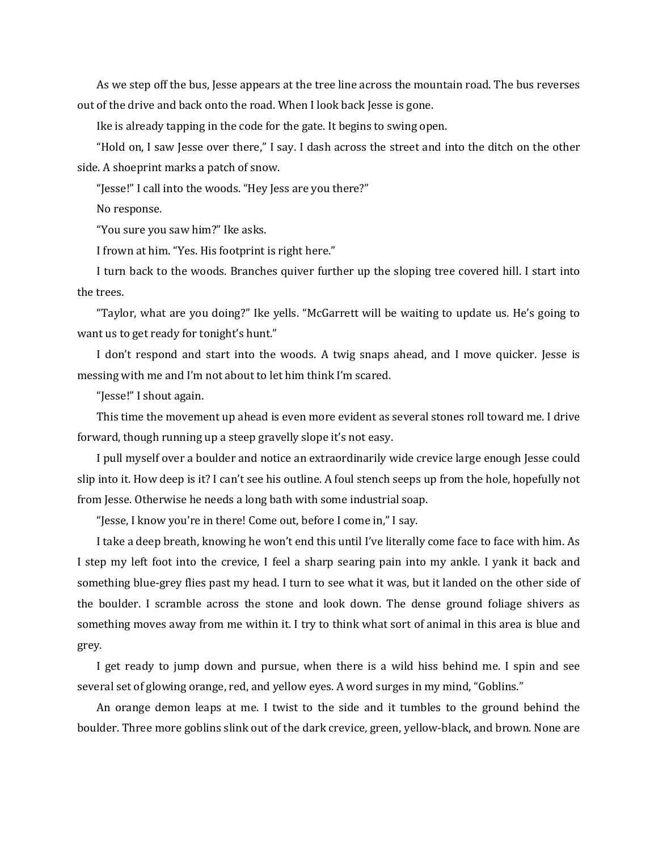As we step off the bus, Jesse appears at the tree line across the mountain road. The bus reverses out of the drive and back onto the road. When I look back Jesse is gone.

Ike is already tapping in the code for the gate. It begins to swing open.

"Hold on, I saw Jesse over there," I say. I dash across the street and into the ditch on the other side. A shoeprint marks a patch of snow.

"Jesse!" I call into the woods. "Hey Jess are you there?"

No response.

"You sure you saw him?" Ike asks.

I frown at him. "Yes. His footprint is right here."

I turn back to the woods. Branches quiver further up the sloping tree covered hill. I start into the trees.

"Taylor, what are you doing?" Ike yells. "McGarrett will be waiting to update us. He's going to want us to get ready for tonight's hunt."

I don't respond and start into the woods. A twig snaps ahead, and I move quicker. Jesse is messing with me and I'm not about to let him think I'm scared.

"Jesse!" I shout again.

This time the movement up ahead is even more evident as several stones roll toward me. I drive forward, though running up a steep gravelly slope it's not easy.

I pull myself over a boulder and notice an extraordinarily wide crevice large enough Jesse could slip into it. How deep is it? I can't see his outline. A foul stench seeps up from the hole, hopefully not from Jesse. Otherwise he needs a long bath with some industrial soap.

"Jesse, I know you're in there! Come out, before I come in," I say.

I take a deep breath, knowing he won't end this until I've literally come face to face with him. As I step my left foot into the crevice, I feel a sharp searing pain into my ankle. I yank it back and something blue-grey flies past my head. I turn to see what it was, but it landed on the other side of the boulder. I scramble across the stone and look down. The dense ground foliage shivers as something moves away from me within it. I try to think what sort of animal in this area is blue and grey.

I get ready to jump down and pursue, when there is a wild hiss behind me. I spin and see several set of glowing orange, red, and yellow eyes. A word surges in my mind, "Goblins."

An orange demon leaps at me. I twist to the side and it tumbles to the ground behind the boulder. Three more goblins slink out of the dark crevice, green, yellow-black, and brown. None are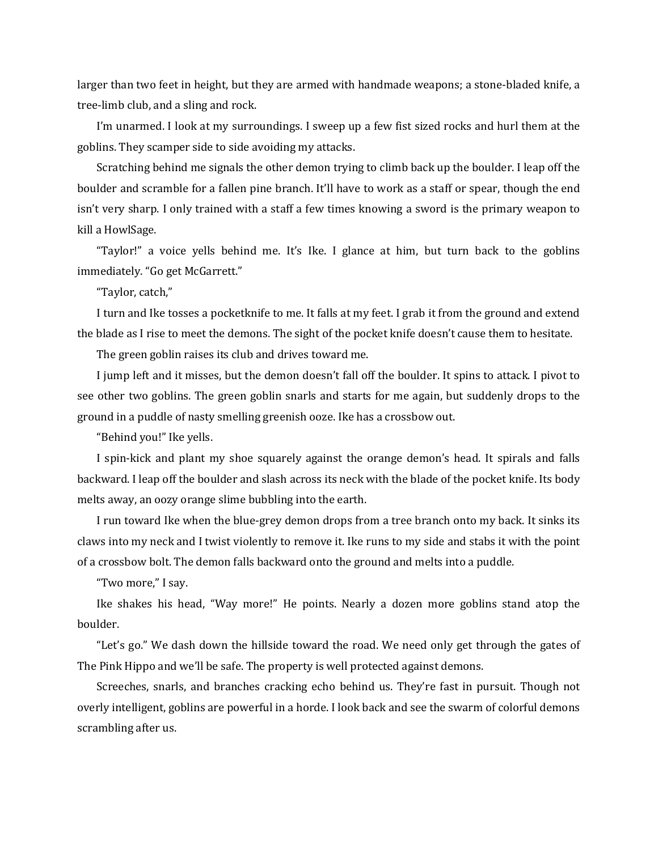larger than two feet in height, but they are armed with handmade weapons; a stone-bladed knife, a tree-limb club, and a sling and rock.

I'm unarmed. I look at my surroundings. I sweep up a few fist sized rocks and hurl them at the goblins. They scamper side to side avoiding my attacks.

Scratching behind me signals the other demon trying to climb back up the boulder. I leap off the boulder and scramble for a fallen pine branch. It'll have to work as a staff or spear, though the end isn't very sharp. I only trained with a staff a few times knowing a sword is the primary weapon to kill a HowlSage.

"Taylor!" a voice yells behind me. It's Ike. I glance at him, but turn back to the goblins immediately. "Go get McGarrett."

"Taylor, catch,"

I turn and Ike tosses a pocketknife to me. It falls at my feet. I grab it from the ground and extend the blade as I rise to meet the demons. The sight of the pocket knife doesn't cause them to hesitate.

The green goblin raises its club and drives toward me.

I jump left and it misses, but the demon doesn't fall off the boulder. It spins to attack. I pivot to see other two goblins. The green goblin snarls and starts for me again, but suddenly drops to the ground in a puddle of nasty smelling greenish ooze. Ike has a crossbow out.

"Behind you!" Ike yells.

I spin-kick and plant my shoe squarely against the orange demon's head. It spirals and falls backward. I leap off the boulder and slash across its neck with the blade of the pocket knife. Its body melts away, an oozy orange slime bubbling into the earth.

I run toward Ike when the blue-grey demon drops from a tree branch onto my back. It sinks its claws into my neck and I twist violently to remove it. Ike runs to my side and stabs it with the point of a crossbow bolt. The demon falls backward onto the ground and melts into a puddle.

"Two more," I say.

Ike shakes his head, "Way more!" He points. Nearly a dozen more goblins stand atop the boulder.

"Let's go." We dash down the hillside toward the road. We need only get through the gates of The Pink Hippo and we'll be safe. The property is well protected against demons.

Screeches, snarls, and branches cracking echo behind us. They're fast in pursuit. Though not overly intelligent, goblins are powerful in a horde. I look back and see the swarm of colorful demons scrambling after us.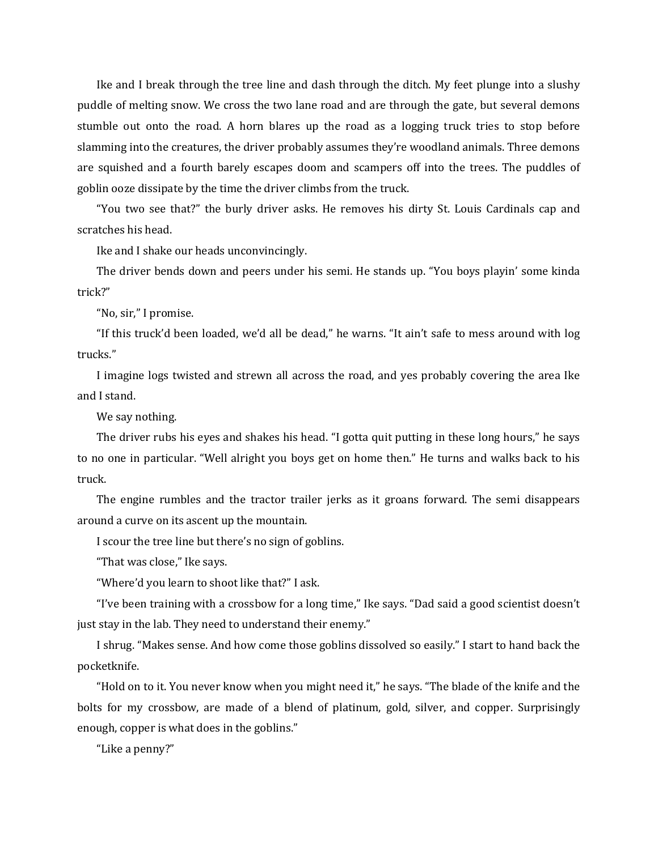Ike and I break through the tree line and dash through the ditch. My feet plunge into a slushy puddle of melting snow. We cross the two lane road and are through the gate, but several demons stumble out onto the road. A horn blares up the road as a logging truck tries to stop before slamming into the creatures, the driver probably assumes they're woodland animals. Three demons are squished and a fourth barely escapes doom and scampers off into the trees. The puddles of goblin ooze dissipate by the time the driver climbs from the truck.

"You two see that?" the burly driver asks. He removes his dirty St. Louis Cardinals cap and scratches his head.

Ike and I shake our heads unconvincingly.

The driver bends down and peers under his semi. He stands up. "You boys playin' some kinda trick?"

"No, sir," I promise.

"If this truck'd been loaded, we'd all be dead," he warns. "It ain't safe to mess around with log trucks."

I imagine logs twisted and strewn all across the road, and yes probably covering the area Ike and I stand.

We say nothing.

The driver rubs his eyes and shakes his head. "I gotta quit putting in these long hours," he says to no one in particular. "Well alright you boys get on home then." He turns and walks back to his truck.

The engine rumbles and the tractor trailer jerks as it groans forward. The semi disappears around a curve on its ascent up the mountain.

I scour the tree line but there's no sign of goblins.

"That was close," Ike says.

"Where'd you learn to shoot like that?" I ask.

"I've been training with a crossbow for a long time," Ike says. "Dad said a good scientist doesn't just stay in the lab. They need to understand their enemy."

I shrug. "Makes sense. And how come those goblins dissolved so easily." I start to hand back the pocketknife.

"Hold on to it. You never know when you might need it," he says. "The blade of the knife and the bolts for my crossbow, are made of a blend of platinum, gold, silver, and copper. Surprisingly enough, copper is what does in the goblins."

"Like a penny?"